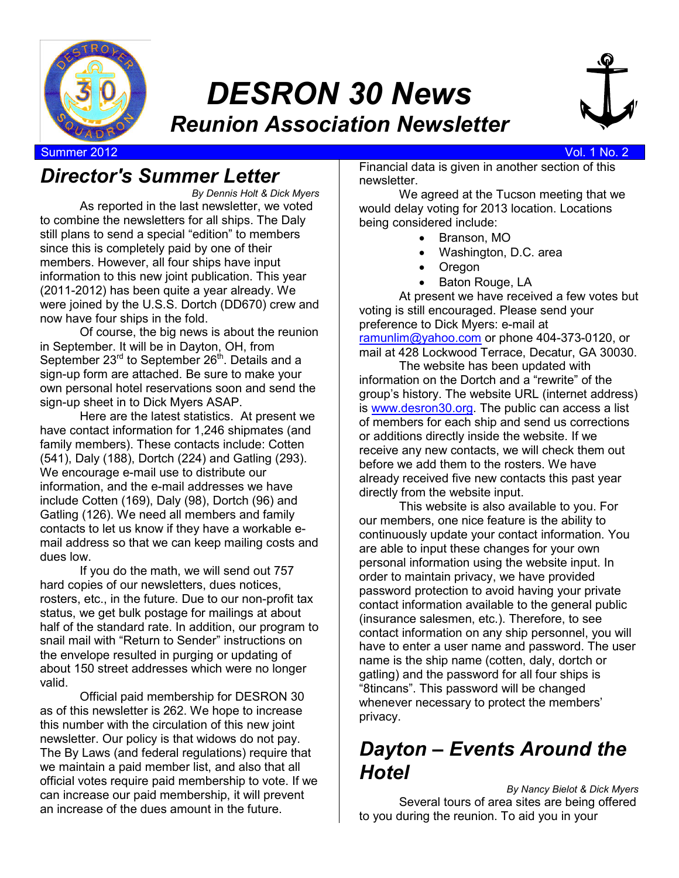

# *DESRON 30 News Reunion Association Newsletter*



Summer 2012 **Vol. 1 No. 2** Vol. 1 No. 2

### *Director's Summer Letter*

*By Dennis Holt & Dick Myers*  As reported in the last newsletter, we voted to combine the newsletters for all ships. The Daly still plans to send a special "edition" to members since this is completely paid by one of their members. However, all four ships have input information to this new joint publication. This year (2011-2012) has been quite a year already. We were joined by the U.S.S. Dortch (DD670) crew and now have four ships in the fold.

 Of course, the big news is about the reunion in September. It will be in Dayton, OH, from September 23<sup>rd</sup> to September 26<sup>th</sup>. Details and a sign-up form are attached. Be sure to make your own personal hotel reservations soon and send the sign-up sheet in to Dick Myers ASAP.

 Here are the latest statistics. At present we have contact information for 1,246 shipmates (and family members). These contacts include: Cotten (541), Daly (188), Dortch (224) and Gatling (293). We encourage e-mail use to distribute our information, and the e-mail addresses we have include Cotten (169), Daly (98), Dortch (96) and Gatling (126). We need all members and family contacts to let us know if they have a workable email address so that we can keep mailing costs and dues low.

 If you do the math, we will send out 757 hard copies of our newsletters, dues notices, rosters, etc., in the future. Due to our non-profit tax status, we get bulk postage for mailings at about half of the standard rate. In addition, our program to snail mail with "Return to Sender" instructions on the envelope resulted in purging or updating of about 150 street addresses which were no longer valid.

 Official paid membership for DESRON 30 as of this newsletter is 262. We hope to increase this number with the circulation of this new joint newsletter. Our policy is that widows do not pay. The By Laws (and federal regulations) require that we maintain a paid member list, and also that all official votes require paid membership to vote. If we can increase our paid membership, it will prevent an increase of the dues amount in the future.

Financial data is given in another section of this newsletter.

 We agreed at the Tucson meeting that we would delay voting for 2013 location. Locations being considered include:

- Branson, MO
- Washington, D.C. area
- Oregon
- Baton Rouge, LA

 At present we have received a few votes but voting is still encouraged. Please send your preference to Dick Myers: e-mail at ramunlim@yahoo.com or phone 404-373-0120, or mail at 428 Lockwood Terrace, Decatur, GA 30030.

 The website has been updated with information on the Dortch and a "rewrite" of the group's history. The website URL (internet address) is www.desron30.org. The public can access a list of members for each ship and send us corrections or additions directly inside the website. If we receive any new contacts, we will check them out before we add them to the rosters. We have already received five new contacts this past year directly from the website input.

 This website is also available to you. For our members, one nice feature is the ability to continuously update your contact information. You are able to input these changes for your own personal information using the website input. In order to maintain privacy, we have provided password protection to avoid having your private contact information available to the general public (insurance salesmen, etc.). Therefore, to see contact information on any ship personnel, you will have to enter a user name and password. The user name is the ship name (cotten, daly, dortch or gatling) and the password for all four ships is "8tincans". This password will be changed whenever necessary to protect the members' privacy.

### *Dayton – Events Around the Hotel*

*By Nancy Bielot & Dick Myers*  Several tours of area sites are being offered to you during the reunion. To aid you in your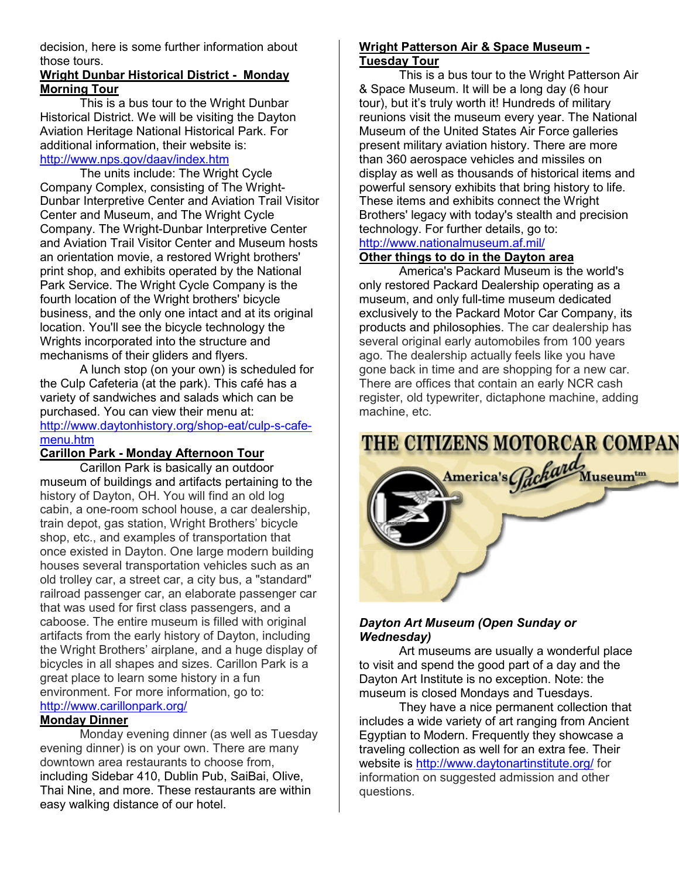decision, here is some further information about those tours.

#### **Wright Dunbar Historical District - Monday Morning Tour**

This is a bus tour to the Wright Dunbar Historical District. We will be visiting the Dayton Aviation Heritage National Historical Park. For additional information, their website is: http://www.nps.gov/daav/index.htm

The units include: The Wright Cycle Company Complex, consisting of The Wright-Dunbar Interpretive Center and Aviation Trail Visitor Center and Museum, and The Wright Cycle Company. The Wright-Dunbar Interpretive Center and Aviation Trail Visitor Center and Museum hosts an orientation movie, a restored Wright brothers' print shop, and exhibits operated by the National Park Service. The Wright Cycle Company is the fourth location of the Wright brothers' bicycle business, and the only one intact and at its original location. You'll see the bicycle technology the Wrights incorporated into the structure and mechanisms of their gliders and flyers.

A lunch stop (on your own) is scheduled for the Culp Cafeteria (at the park). This café has a variety of sandwiches and salads which can be purchased. You can view their menu at: http://www.daytonhistory.org/shop-eat/culp-s-cafemenu.htm

#### **Carillon Park - Monday Afternoon Tour**

Carillon Park is basically an outdoor museum of buildings and artifacts pertaining to the history of Dayton, OH. You will find an old log cabin, a one-room school house, a car dealership, train depot, gas station, Wright Brothers' bicycle shop, etc., and examples of transportation that once existed in Dayton. One large modern building houses several transportation vehicles such as an old trolley car, a street car, a city bus, a "standard" railroad passenger car, an elaborate passenger car that was used for first class passengers, and a caboose. The entire museum is filled with original artifacts from the early history of Dayton, including the Wright Brothers' airplane, and a huge display of bicycles in all shapes and sizes. Carillon Park is a great place to learn some history in a fun environment. For more information, go to: http://www.carillonpark.org/

#### **Monday Dinner**

Monday evening dinner (as well as Tuesday evening dinner) is on your own. There are many downtown area restaurants to choose from, including Sidebar 410, Dublin Pub, SaiBai, Olive, Thai Nine, and more. These restaurants are within easy walking distance of our hotel.

#### **Wright Patterson Air & Space Museum - Tuesday Tour**

This is a bus tour to the Wright Patterson Air & Space Museum. It will be a long day (6 hour tour), but it's truly worth it! Hundreds of military reunions visit the museum every year. The National Museum of the United States Air Force galleries present military aviation history. There are more than 360 aerospace vehicles and missiles on display as well as thousands of historical items and powerful sensory exhibits that bring history to life. These items and exhibits connect the Wright Brothers' legacy with today's stealth and precision technology. For further details, go to:

### http://www.nationalmuseum.af.mil/

### **Other things to do in the Dayton area**

America's Packard Museum is the world's only restored Packard Dealership operating as a museum, and only full-time museum dedicated exclusively to the Packard Motor Car Company, its products and philosophies. The car dealership has several original early automobiles from 100 years ago. The dealership actually feels like you have gone back in time and are shopping for a new car. There are offices that contain an early NCR cash register, old typewriter, dictaphone machine, adding machine, etc.

### **THE CITIZENS MOTORCAR COMPAN**



#### *Dayton Art Museum (Open Sunday or Wednesday)*

Art museums are usually a wonderful place to visit and spend the good part of a day and the Dayton Art Institute is no exception. Note: the museum is closed Mondays and Tuesdays.

They have a nice permanent collection that includes a wide variety of art ranging from Ancient Egyptian to Modern. Frequently they showcase a traveling collection as well for an extra fee. Their website is http://www.daytonartinstitute.org/ for information on suggested admission and other questions.